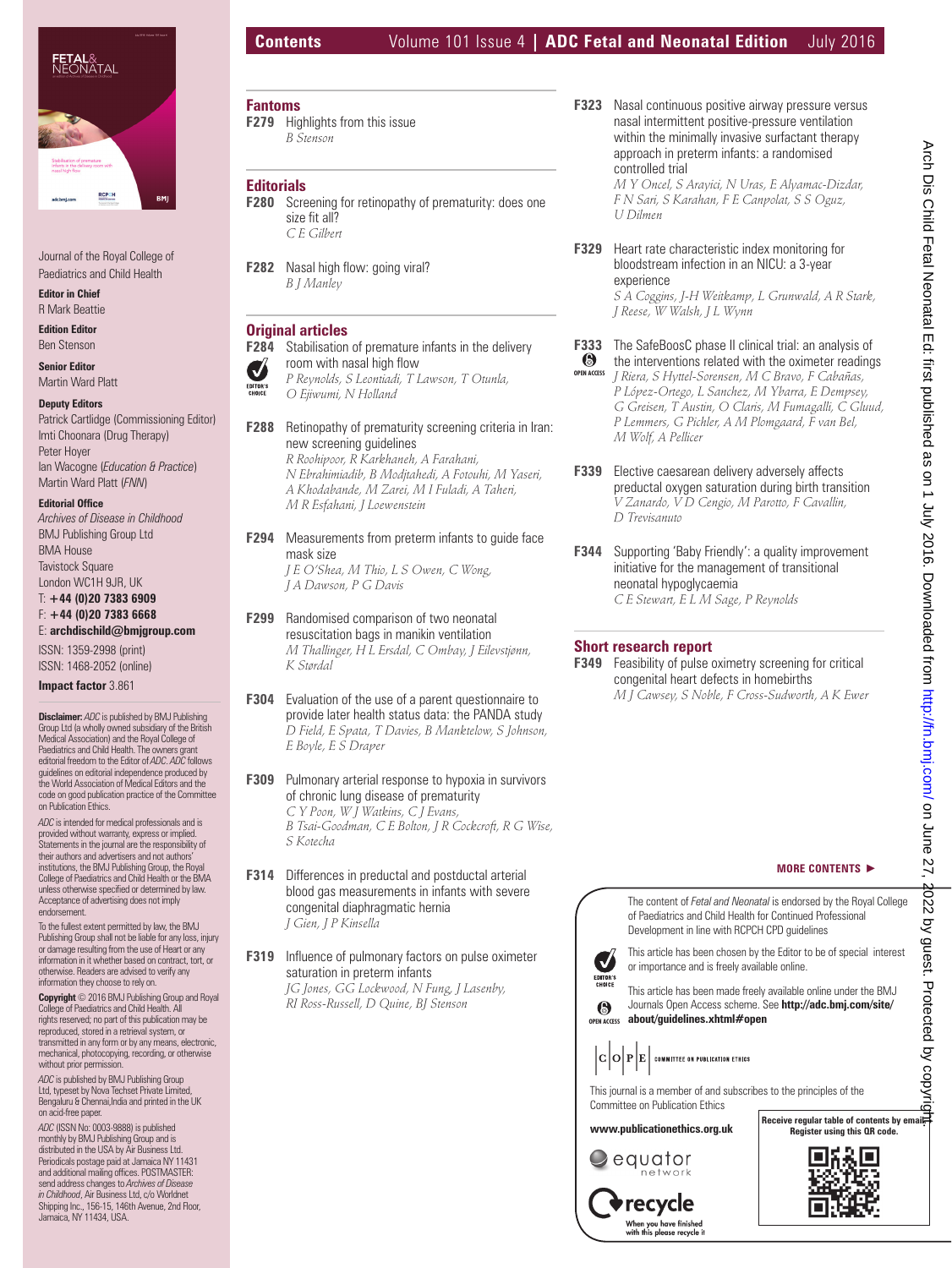

Journal of the Royal College of Paediatrics and Child Health

**Editor in Chief** R Mark Beattie

**Edition Editor** Ben Stenson

**Senior Editor** Martin Ward Platt

### **Deputy Editors**

Patrick Cartlidge (Commissioning Editor) Imti Choonara (Drug Therapy) Peter Hoyer Ian Wacogne (*Education & Practice*) Martin Ward Platt (*FNN*)

#### **Editorial Office**

*Archives of Disease in Childhood* BMJ Publishing Group Ltd BMA House Tavistock Square London WC1H 9JR, UK

#### T: **+44 (0)20 7383 6909** F: **+44 (0)20 7383 6668** E: **archdischild@bmjgroup.com**

ISSN: 1359-2998 (print) ISSN: 1468-2052 (online)

## **Impact factor** 3.861

**Disclaimer:** *ADC* is published by BMJ Publishing Group Ltd (a wholly owned subsidiary of the British Medical Association) and the Royal College of Paediatrics and Child Health. The owners grant editorial freedom to the Editor of *ADC*. *ADC* follows guidelines on editorial independence produced by the World Association of Medical Editors and the code on good publication practice of the Committee on Publication Ethics.

*ADC* is intended for medical professionals and is provided without warranty, express or implied. Statements in the journal are the responsibility of their authors and advertisers and not authors' institutions, the BMJ Publishing Group, the Royal College of Paediatrics and Child Health or the BMA unless otherwise specified or determined by law.<br>Acceptance of advertising does not imply endorsement.

To the fullest extent permitted by law, the BMJ Publishing Group shall not be liable for any loss, injury or damage resulting from the use of Heart or any information in it whether based on contract, tort, or otherwise. Readers are advised to verify any information they choose to rely on.

**Copyright** © 2016 BMJ Publishing Group and Royal College of Paediatrics and Child Health. All rights reserved; no part of this publication may be reproduced, stored in a retrieval system, or transmitted in any form or by any means, electronic, mechanical, photocopying, recording, or otherwise without prior permission

*ADC* is published by BMJ Publishing Group Ltd, typeset by Nova Techset Private Limited, Bengaluru & Chennai,India and printed in the UK on acid-free paper.

*ADC* (ISSN No: 0003-9888) is published monthly by BMJ Publishing Group and is distributed in the USA by Air Business Ltd. Periodicals postage paid at Jamaica NY 11431<br>and additional mailing offices. POSTMASTER: send address changes to *Archives of Disease in Childhood*, Air Business Ltd, c/o Worldnet Shipping Inc., 156-15, 146th Avenue, 2nd Floor, Jamaica, NY 11434, USA.

# **Contents** Volume 101 Issue 4 **| ADC Fetal and Neonatal Edition** July 2016

# **Fantoms**

**F279** Highlights from this issue *B Stenson* 

# **Editorials**

- **F280** Screening for retinopathy of prematurity: does one size fit all?  *C E Gilbert*
- **F282** Nasal high flow: going viral?  *B J Manley*

# **Original articles**

- **F284** Stabilisation of premature infants in the delivery room with nasal high flow Ø
- *P Reynolds, S Leontiadi, T Lawson, T Otunla,*  EDITOR'S *O Ejiwumi, N Holland*
- **F288** Retinopathy of prematurity screening criteria in Iran: new screening guidelines  *R Roohipoor, R Karkhaneh, A Farahani, N Ebrahimiadib, B Modjtahedi, A Fotouhi, M Yaseri, A Khodabande, M Zarei, M I Fuladi, A Taheri, M R Esfahani, J Loewenstein*
- **F294** Measurements from preterm infants to guide face mask size  *J E O'Shea, M Thio, L S Owen, C Wong, J A Dawson, P G Davis*
- **F299** Randomised comparison of two neonatal resuscitation bags in manikin ventilation  *M Thallinger, H L Ersdal, C Ombay, J Eilevstjønn, K Størdal*
- **F304** Evaluation of the use of a parent questionnaire to provide later health status data: the PANDA study  *D Field, E Spata, T Davies, B Manktelow, S Johnson, E Boyle, E S Draper*
- **F309** Pulmonary arterial response to hypoxia in survivors of chronic lung disease of prematurity  *C Y Poon, W J Watkins, C J Evans, B Tsai-Goodman, C E Bolton, J R Cockcroft, R G Wise, S Kotecha*
- **F314** Differences in preductal and postductal arterial blood gas measurements in infants with severe congenital diaphragmatic hernia  *J Gien, J P Kinsella*
- **F319** Influence of pulmonary factors on pulse oximeter saturation in preterm infants  *JG Jones, GG Lockwood, N Fung, J Lasenby, RI Ross-Russell, D Quine, BJ Stenson*

**F323** Nasal continuous positive airway pressure versus nasal intermittent positive-pressure ventilation within the minimally invasive surfactant therapy approach in preterm infants: a randomised controlled trial

 *M Y Oncel, S Arayici, N Uras, E Alyamac-Dizdar, F N Sari, S Karahan, F E Canpolat, S S Oguz, U Dilmen* 

**F329** Heart rate characteristic index monitoring for bloodstream infection in an NICU: a 3-year experience  *S A Coggins, J-H Weitkamp, L Grunwald, A R Stark,* 

*J Reese, W Walsh, J L Wynn* 

- **F333** The SafeBoosC phase II clinical trial: an analysis of **6** the interventions related with the oximeter reading
- the interventions related with the oximeter readings  *J Riera, S Hyttel-Sorensen, M C Bravo, F Cabañas, P López-Ortego, L Sanchez, M Ybarra, E Dempsey, G Greisen, T Austin, O Claris, M Fumagalli, C Gluud, P Lemmers, G Pichler, A M Plomgaard, F van Bel, M Wolf, A Pellicer*  **OPEN ACCESS**
- **F339** Elective caesarean delivery adversely affects preductal oxygen saturation during birth transition  *V Zanardo, V D Cengio, M Parotto, F Cavallin, D Trevisanuto*
- **F344** Supporting 'Baby Friendly': a quality improvement initiative for the management of transitional neonatal hypoglycaemia  *C E Stewart, E L M Sage, P Reynolds*

## **Short research report**

**F349** Feasibility of pulse oximetry screening for critical congenital heart defects in homebirths  *M J Cawsey, S Noble, F Cross-Sudworth, A K Ewer* 

> The content of *Fetal and Neonatal* is endorsed by the Royal College of Paediatrics and Child Health for Continued Professional Development in line with RCPCH CPD guidelines

**MORE CONTENTS** -



This article has been chosen by the Editor to be of special interest or importance and is freely available online.

This article has been made freely available online under the BMJ Journals Open Access scheme. See **http://adc.bmj.com/site/ about/guidelines.xhtml#open OPEN ACCESS**



This journal is a member of and subscribes to the principles of the Committee on Publication Ethics

### **www.publicationethics.org.uk**